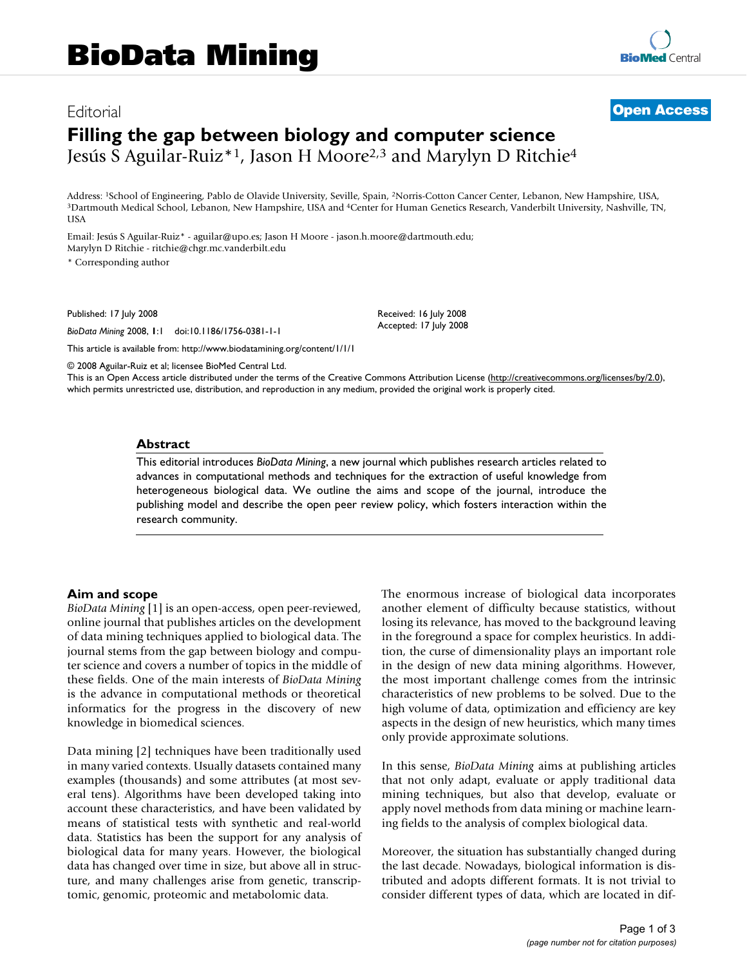# Editorial **[Open Access](http://www.biomedcentral.com/info/about/charter/) Filling the gap between biology and computer science** Jesús S Aguilar-Ruiz\*1, Jason H Moore2,3 and Marylyn D Ritchie4

Address: <sup>1</sup>School of Engineering, Pablo de Olavide University, Seville, Spain, <sup>2</sup>Norris-Cotton Cancer Center, Lebanon, New Hampshire, USA, <sup>3</sup>Dartmouth Medical School, Lebanon, New Hampshire, Peter Hampshire, Pampshire, USA

Email: Jesús S Aguilar-Ruiz\* - aguilar@upo.es; Jason H Moore - jason.h.moore@dartmouth.edu; Marylyn D Ritchie - ritchie@chgr.mc.vanderbilt.edu

\* Corresponding author

Published: 17 July 2008

*BioData Mining* 2008, **1**:1 doi:10.1186/1756-0381-1-1

[This article is available from: http://www.biodatamining.org/content/1/1/1](http://www.biodatamining.org/content/1/1/1)

© 2008 Aguilar-Ruiz et al; licensee BioMed Central Ltd.

This is an Open Access article distributed under the terms of the Creative Commons Attribution License [\(http://creativecommons.org/licenses/by/2.0\)](http://creativecommons.org/licenses/by/2.0), which permits unrestricted use, distribution, and reproduction in any medium, provided the original work is properly cited.

Received: 16 July 2008 Accepted: 17 July 2008

#### **Abstract**

This editorial introduces *BioData Mining*, a new journal which publishes research articles related to advances in computational methods and techniques for the extraction of useful knowledge from heterogeneous biological data. We outline the aims and scope of the journal, introduce the publishing model and describe the open peer review policy, which fosters interaction within the research community.

#### **Aim and scope**

*BioData Mining* [1] is an open-access, open peer-reviewed, online journal that publishes articles on the development of data mining techniques applied to biological data. The journal stems from the gap between biology and computer science and covers a number of topics in the middle of these fields. One of the main interests of *BioData Mining* is the advance in computational methods or theoretical informatics for the progress in the discovery of new knowledge in biomedical sciences.

Data mining [2] techniques have been traditionally used in many varied contexts. Usually datasets contained many examples (thousands) and some attributes (at most several tens). Algorithms have been developed taking into account these characteristics, and have been validated by means of statistical tests with synthetic and real-world data. Statistics has been the support for any analysis of biological data for many years. However, the biological data has changed over time in size, but above all in structure, and many challenges arise from genetic, transcriptomic, genomic, proteomic and metabolomic data.

The enormous increase of biological data incorporates another element of difficulty because statistics, without losing its relevance, has moved to the background leaving in the foreground a space for complex heuristics. In addition, the curse of dimensionality plays an important role in the design of new data mining algorithms. However, the most important challenge comes from the intrinsic characteristics of new problems to be solved. Due to the high volume of data, optimization and efficiency are key aspects in the design of new heuristics, which many times only provide approximate solutions.

In this sense, *BioData Mining* aims at publishing articles that not only adapt, evaluate or apply traditional data mining techniques, but also that develop, evaluate or apply novel methods from data mining or machine learning fields to the analysis of complex biological data.

Moreover, the situation has substantially changed during the last decade. Nowadays, biological information is distributed and adopts different formats. It is not trivial to consider different types of data, which are located in dif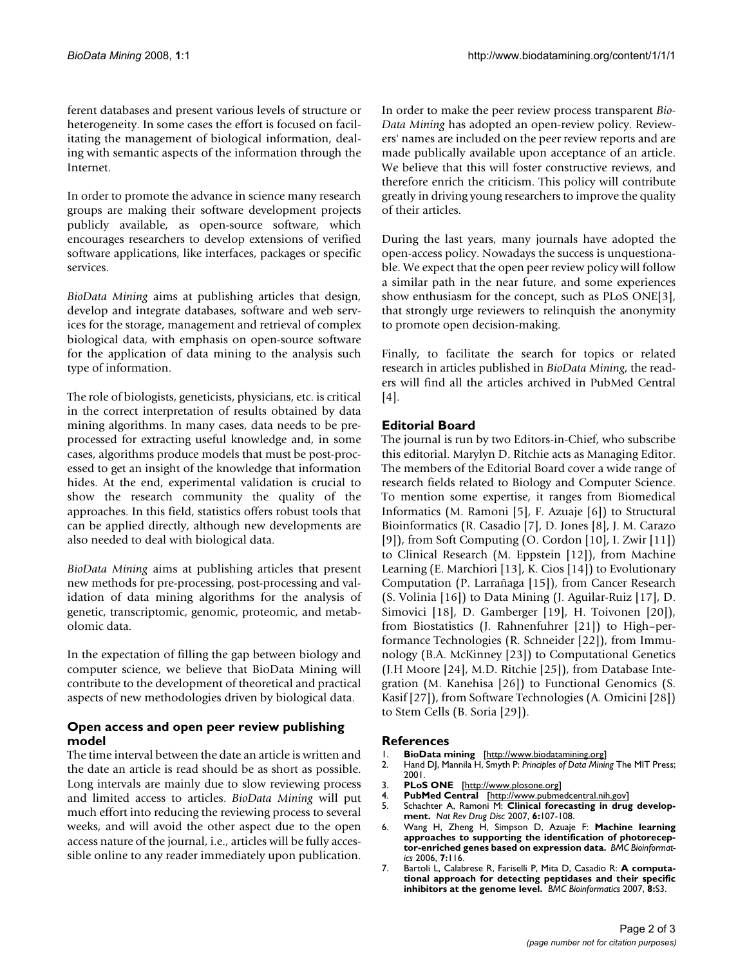ferent databases and present various levels of structure or heterogeneity. In some cases the effort is focused on facilitating the management of biological information, dealing with semantic aspects of the information through the Internet.

In order to promote the advance in science many research groups are making their software development projects publicly available, as open-source software, which encourages researchers to develop extensions of verified software applications, like interfaces, packages or specific services.

*BioData Mining* aims at publishing articles that design, develop and integrate databases, software and web services for the storage, management and retrieval of complex biological data, with emphasis on open-source software for the application of data mining to the analysis such type of information.

The role of biologists, geneticists, physicians, etc. is critical in the correct interpretation of results obtained by data mining algorithms. In many cases, data needs to be preprocessed for extracting useful knowledge and, in some cases, algorithms produce models that must be post-processed to get an insight of the knowledge that information hides. At the end, experimental validation is crucial to show the research community the quality of the approaches. In this field, statistics offers robust tools that can be applied directly, although new developments are also needed to deal with biological data.

*BioData Mining* aims at publishing articles that present new methods for pre-processing, post-processing and validation of data mining algorithms for the analysis of genetic, transcriptomic, genomic, proteomic, and metabolomic data.

In the expectation of filling the gap between biology and computer science, we believe that BioData Mining will contribute to the development of theoretical and practical aspects of new methodologies driven by biological data.

## **Open access and open peer review publishing model**

The time interval between the date an article is written and the date an article is read should be as short as possible. Long intervals are mainly due to slow reviewing process and limited access to articles. *BioData Mining* will put much effort into reducing the reviewing process to several weeks, and will avoid the other aspect due to the open access nature of the journal, i.e., articles will be fully accessible online to any reader immediately upon publication. In order to make the peer review process transparent *Bio-Data Mining* has adopted an open-review policy. Reviewers' names are included on the peer review reports and are made publically available upon acceptance of an article. We believe that this will foster constructive reviews, and therefore enrich the criticism. This policy will contribute greatly in driving young researchers to improve the quality of their articles.

During the last years, many journals have adopted the open-access policy. Nowadays the success is unquestionable. We expect that the open peer review policy will follow a similar path in the near future, and some experiences show enthusiasm for the concept, such as PLoS ONE[3], that strongly urge reviewers to relinquish the anonymity to promote open decision-making.

Finally, to facilitate the search for topics or related research in articles published in *BioData Mining*, the readers will find all the articles archived in PubMed Central [4].

## **Editorial Board**

The journal is run by two Editors-in-Chief, who subscribe this editorial. Marylyn D. Ritchie acts as Managing Editor. The members of the Editorial Board cover a wide range of research fields related to Biology and Computer Science. To mention some expertise, it ranges from Biomedical Informatics (M. Ramoni [5], F. Azuaje [6]) to Structural Bioinformatics (R. Casadio [7], D. Jones [8], J. M. Carazo [9]), from Soft Computing (O. Cordon [10], I. Zwir [11]) to Clinical Research (M. Eppstein [12]), from Machine Learning (E. Marchiori [13], K. Cios [14]) to Evolutionary Computation (P. Larrañaga [15]), from Cancer Research (S. Volinia [16]) to Data Mining (J. Aguilar-Ruiz [17], D. Simovici [18], D. Gamberger [19], H. Toivonen [20]), from Biostatistics (J. Rahnenfuhrer [21]) to High–performance Technologies (R. Schneider [22]), from Immunology (B.A. McKinney [23]) to Computational Genetics (J.H Moore [24], M.D. Ritchie [25]), from Database Integration (M. Kanehisa [26]) to Functional Genomics (S. Kasif [27]), from Software Technologies (A. Omicini [28]) to Stem Cells (B. Soria [29]).

### **References**

- 1. **BioData mining** [<http://www.biodatamining.org>]
- 2. Hand DJ, Mannila H, Smyth P: *Principles of Data Mining* The MIT Press; 2001.
- 3. **PLoS ONE** [\[http://www.plosone.org\]](http://www.plosone.org)<br>4. **PubMed Central** [http://www.pubme
- 4. **PubMed Central** [<http://www.pubmedcentral.nih.gov>]<br>5. Schachter A. Ramoni M: **Clinical forecasting in drug**
- Schachter A, Ramoni M: [Clinical forecasting in drug develop](http://www.ncbi.nlm.nih.gov/entrez/query.fcgi?cmd=Retrieve&db=PubMed&dopt=Abstract&list_uids=17342862)**[ment.](http://www.ncbi.nlm.nih.gov/entrez/query.fcgi?cmd=Retrieve&db=PubMed&dopt=Abstract&list_uids=17342862)** *Nat Rev Drug Disc* 2007, **6:**107-108.
- 6. Wang H, Zheng H, Simpson D, Azuaje F: **[Machine learning](http://www.ncbi.nlm.nih.gov/entrez/query.fcgi?cmd=Retrieve&db=PubMed&dopt=Abstract&list_uids=16524483) [approaches to supporting the identification of photorecep](http://www.ncbi.nlm.nih.gov/entrez/query.fcgi?cmd=Retrieve&db=PubMed&dopt=Abstract&list_uids=16524483)[tor-enriched genes based on expression data.](http://www.ncbi.nlm.nih.gov/entrez/query.fcgi?cmd=Retrieve&db=PubMed&dopt=Abstract&list_uids=16524483)** *BMC Bioinformatics* 2006, **7:**116.
- 7. Bartoli L, Calabrese R, Fariselli P, Mita D, Casadio R: **[A computa](http://www.ncbi.nlm.nih.gov/entrez/query.fcgi?cmd=Retrieve&db=PubMed&dopt=Abstract&list_uids=17430570)[tional approach for detecting peptidases and their specific](http://www.ncbi.nlm.nih.gov/entrez/query.fcgi?cmd=Retrieve&db=PubMed&dopt=Abstract&list_uids=17430570) [inhibitors at the genome level.](http://www.ncbi.nlm.nih.gov/entrez/query.fcgi?cmd=Retrieve&db=PubMed&dopt=Abstract&list_uids=17430570)** *BMC Bioinformatics* 2007, **8:**S3.